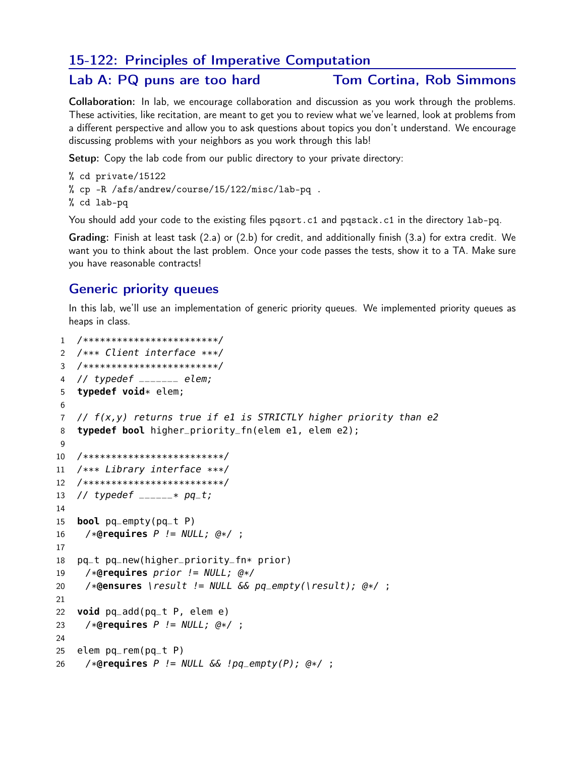# 15-122: Principles of Imperative Computation

### Lab A: PQ puns are too hard

### **Tom Cortina, Rob Simmons**

Collaboration: In lab, we encourage collaboration and discussion as you work through the problems. These activities, like recitation, are meant to get you to review what we've learned, look at problems from a different perspective and allow you to ask questions about topics you don't understand. We encourage discussing problems with your neighbors as you work through this lab!

Setup: Copy the lab code from our public directory to your private directory:

- % cd private/15122 % cp -R /afs/andrew/course/15/122/misc/lab-pq.
- % cd lab-pq

You should add your code to the existing files pqsort.c1 and pqstack.c1 in the directory lab-pq.

Grading: Finish at least task (2.a) or (2.b) for credit, and additionally finish (3.a) for extra credit. We want you to think about the last problem. Once your code passes the tests, show it to a TA. Make sure you have reasonable contracts!

# **Generic priority queues**

In this lab, we'll use an implementation of generic priority queues. We implemented priority queues as heaps in class.

```
1 /**************************/
2 /*** Client interface ***/
3 /**************************/
   // typedef _{\text{---}--} elem;
\overline{4}typedef void* elem;
5
6
   // f(x,y) returns true if el is STRICTLY higher priority than e2
\overline{7}typedef bool higher_priority_fn(elem e1, elem e2);
8
9
10
   /**************************/
    /*** Library interface ***/
1112
   /**************************/
   // typedef _{----- *} pq_t;
13
14
    bool pq_empty(pq_t P)
15
     /*@requires P != NULL; @*/ ;
16
17
    pq_t pq_new(higher_priority_fn* prior)
18
19
     /*@requires prior!= NULL; @*//*@ensures \result != NULL && pq_empty(\result); @*/;
20
21
    void pq\_add(pq_t p, elem e)
22
     /*@requires P != NULL; Q*/;
23
24
25
    elem pq-rem(pq-t P)
     /*@requires P != NULL \&\& !pg_empty(P); @*/ ;
26
```